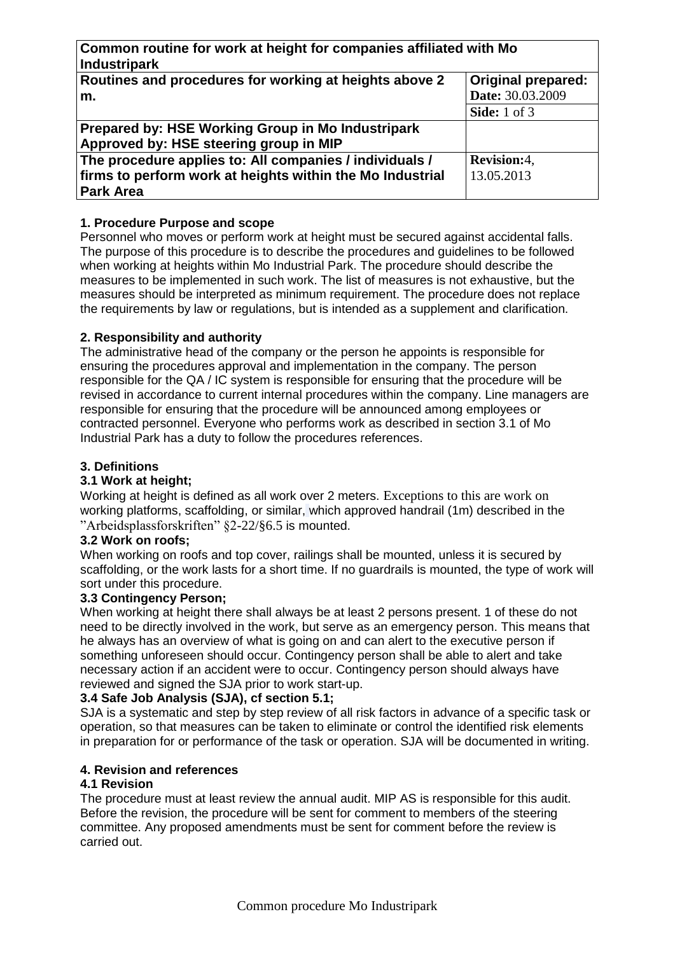**Common routine for work at height for companies affiliated with Mo Industripark Routines and procedures for working at heights above 2 m. Original prepared: Date:** 30.03.2009

**Side:** 1 of 3 **Prepared by: HSE Working Group in Mo Industripark Approved by: HSE steering group in MIP The procedure applies to: All companies / individuals / firms to perform work at heights within the Mo Industrial Park Area Revision:**4, 13.05.2013

## **1. Procedure Purpose and scope**

Personnel who moves or perform work at height must be secured against accidental falls. The purpose of this procedure is to describe the procedures and guidelines to be followed when working at heights within Mo Industrial Park. The procedure should describe the measures to be implemented in such work. The list of measures is not exhaustive, but the measures should be interpreted as minimum requirement. The procedure does not replace the requirements by law or regulations, but is intended as a supplement and clarification.

### **2. Responsibility and authority**

The administrative head of the company or the person he appoints is responsible for ensuring the procedures approval and implementation in the company. The person responsible for the QA / IC system is responsible for ensuring that the procedure will be revised in accordance to current internal procedures within the company. Line managers are responsible for ensuring that the procedure will be announced among employees or contracted personnel. Everyone who performs work as described in section 3.1 of Mo Industrial Park has a duty to follow the procedures references.

### **3. Definitions**

### **3.1 Work at height;**

Working at height is defined as all work over 2 meters. Exceptions to this are work on working platforms, scaffolding, or similar, which approved handrail (1m) described in the "Arbeidsplassforskriften" §2-22/§6.5 is mounted.

### **3.2 Work on roofs;**

When working on roofs and top cover, railings shall be mounted, unless it is secured by scaffolding, or the work lasts for a short time. If no guardrails is mounted, the type of work will sort under this procedure.

### **3.3 Contingency Person;**

When working at height there shall always be at least 2 persons present. 1 of these do not need to be directly involved in the work, but serve as an emergency person. This means that he always has an overview of what is going on and can alert to the executive person if something unforeseen should occur. Contingency person shall be able to alert and take necessary action if an accident were to occur. Contingency person should always have reviewed and signed the SJA prior to work start-up.

### **3.4 Safe Job Analysis (SJA), cf section 5.1;**

SJA is a systematic and step by step review of all risk factors in advance of a specific task or operation, so that measures can be taken to eliminate or control the identified risk elements in preparation for or performance of the task or operation. SJA will be documented in writing.

### **4. Revision and references**

#### **4.1 Revision**

The procedure must at least review the annual audit. MIP AS is responsible for this audit. Before the revision, the procedure will be sent for comment to members of the steering committee. Any proposed amendments must be sent for comment before the review is carried out.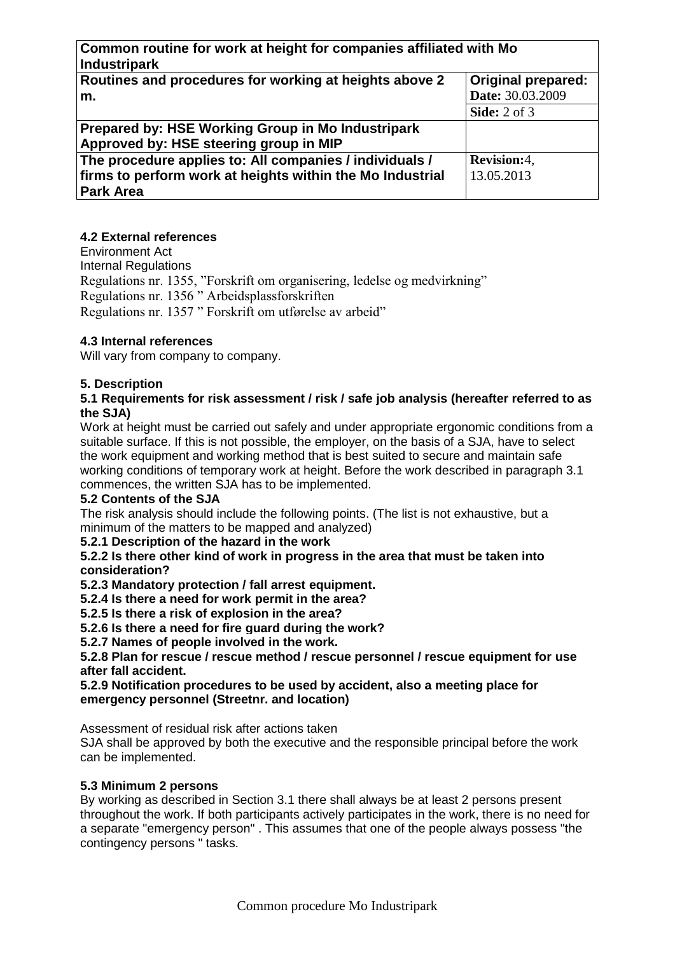| Common routine for work at height for companies affiliated with Mo |                           |
|--------------------------------------------------------------------|---------------------------|
| <b>Industripark</b>                                                |                           |
| Routines and procedures for working at heights above 2             | <b>Original prepared:</b> |
| m.                                                                 | Date: 30.03.2009          |
|                                                                    | <b>Side:</b> 2 of 3       |
| Prepared by: HSE Working Group in Mo Industripark                  |                           |
| Approved by: HSE steering group in MIP                             |                           |
| The procedure applies to: All companies / individuals /            | Revision:4,               |
| firms to perform work at heights within the Mo Industrial          | 13.05.2013                |
| <b>Park Area</b>                                                   |                           |

### **4.2 External references**

Environment Act Internal Regulations Regulations nr. 1355, "Forskrift om organisering, ledelse og medvirkning" Regulations nr. 1356 " Arbeidsplassforskriften Regulations nr. 1357 " Forskrift om utførelse av arbeid"

### **4.3 Internal references**

Will vary from company to company.

### **5. Description**

#### **5.1 Requirements for risk assessment / risk / safe job analysis (hereafter referred to as the SJA)**

Work at height must be carried out safely and under appropriate ergonomic conditions from a suitable surface. If this is not possible, the employer, on the basis of a SJA, have to select the work equipment and working method that is best suited to secure and maintain safe working conditions of temporary work at height. Before the work described in paragraph 3.1 commences, the written SJA has to be implemented.

### **5.2 Contents of the SJA**

The risk analysis should include the following points. (The list is not exhaustive, but a minimum of the matters to be mapped and analyzed)

### **5.2.1 Description of the hazard in the work**

**5.2.2 Is there other kind of work in progress in the area that must be taken into consideration?**

**5.2.3 Mandatory protection / fall arrest equipment.**

**5.2.4 Is there a need for work permit in the area?**

**5.2.5 Is there a risk of explosion in the area?**

**5.2.6 Is there a need for fire guard during the work?**

**5.2.7 Names of people involved in the work.**

**5.2.8 Plan for rescue / rescue method / rescue personnel / rescue equipment for use after fall accident.**

### **5.2.9 Notification procedures to be used by accident, also a meeting place for emergency personnel (Streetnr. and location)**

Assessment of residual risk after actions taken

SJA shall be approved by both the executive and the responsible principal before the work can be implemented.

### **5.3 Minimum 2 persons**

By working as described in Section 3.1 there shall always be at least 2 persons present throughout the work. If both participants actively participates in the work, there is no need for a separate "emergency person" . This assumes that one of the people always possess "the contingency persons " tasks.